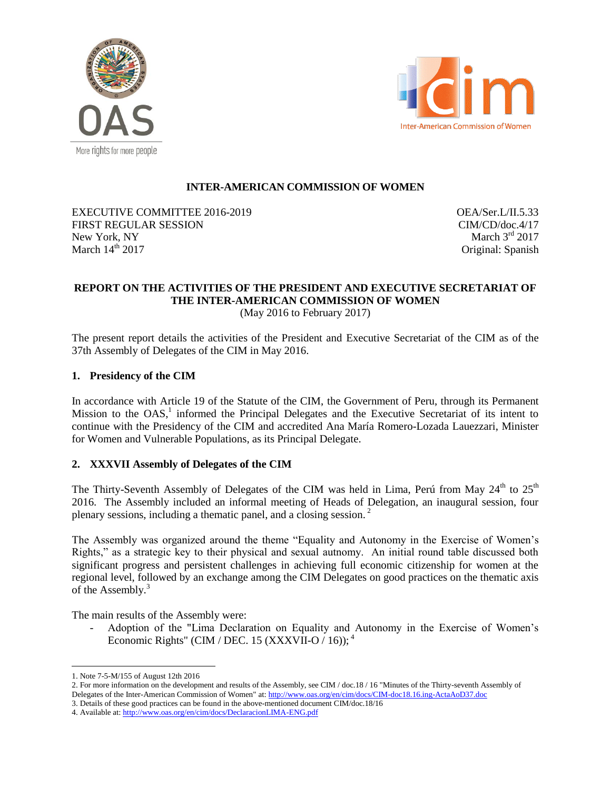



### **INTER-AMERICAN COMMISSION OF WOMEN**

EXECUTIVE COMMITTEE 2016-2019 FIRST REGULAR SESSION New York, NY March  $14<sup>th</sup>$  2017

OEA/Ser.L/II.5.33 CIM/CD/doc.4/17 March  $3<sup>rd</sup>$  2017 Original: Spanish

# **REPORT ON THE ACTIVITIES OF THE PRESIDENT AND EXECUTIVE SECRETARIAT OF THE INTER-AMERICAN COMMISSION OF WOMEN**

(May 2016 to February 2017)

The present report details the activities of the President and Executive Secretariat of the CIM as of the 37th Assembly of Delegates of the CIM in May 2016.

#### **1. Presidency of the CIM**

In accordance with Article 19 of the Statute of the CIM, the Government of Peru, through its Permanent Mission to the OAS,<sup>1</sup> informed the Principal Delegates and the Executive Secretariat of its intent to continue with the Presidency of the CIM and accredited Ana María Romero-Lozada Lauezzari, Minister for Women and Vulnerable Populations, as its Principal Delegate.

#### **2. XXXVII Assembly of Delegates of the CIM**

The Thirty-Seventh Assembly of Delegates of the CIM was held in Lima, Perú from May  $24<sup>th</sup>$  to  $25<sup>th</sup>$ 2016. The Assembly included an informal meeting of Heads of Delegation, an inaugural session, four plenary sessions, including a thematic panel, and a closing session. <sup>2</sup>

The Assembly was organized around the theme "Equality and Autonomy in the Exercise of Women's Rights," as a strategic key to their physical and sexual autnomy. An initial round table discussed both significant progress and persistent challenges in achieving full economic citizenship for women at the regional level, followed by an exchange among the CIM Delegates on good practices on the thematic axis of the Assembly.<sup>3</sup>

The main results of the Assembly were:

- Adoption of the "Lima Declaration on Equality and Autonomy in the Exercise of Women's Economic Rights" (CIM / DEC. 15 (XXXVII-O / 16));  $^4$ 

 $\overline{a}$ 1. Note 7-5-M/155 of August 12th 2016

<sup>2.</sup> For more information on the development and results of the Assembly, see CIM / doc.18 / 16 "Minutes of the Thirty-seventh Assembly of Delegates of the Inter-American Commission of Women" at[: http://www.oas.org/en/cim/docs/CIM-doc18.16.ing-ActaAoD37.doc](http://www.oas.org/en/cim/docs/CIM-doc18.16.ing-ActaAoD37.doc)

<sup>3.</sup> Details of these good practices can be found in the above-mentioned document CIM/doc.18/16

<sup>4.</sup> Available at[: http://www.oas.org/en/cim/docs/DeclaracionLIMA-ENG.pdf](http://www.oas.org/en/cim/docs/DeclaracionLIMA-ENG.pdf)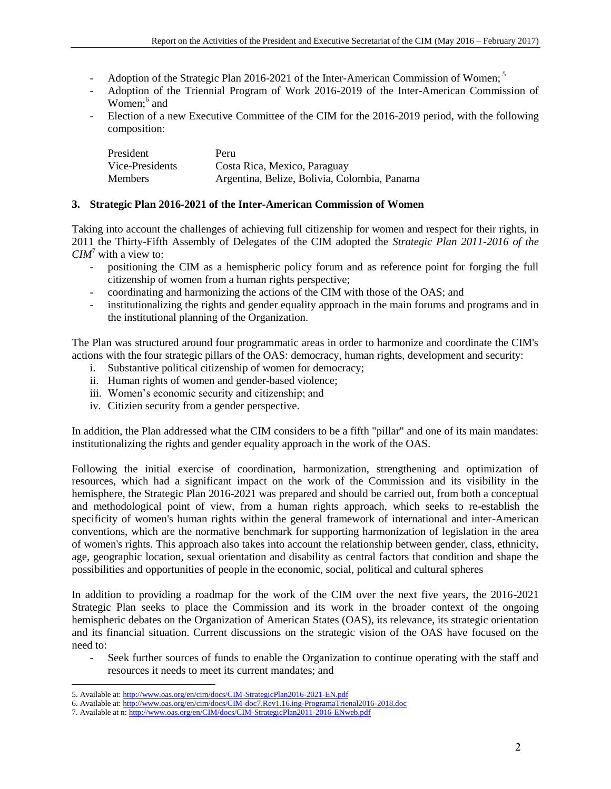- Adoption of the Strategic Plan 2016-2021 of the Inter-American Commission of Women;<sup>5</sup>
- Adoption of the Triennial Program of Work 2016-2019 of the Inter-American Commission of Women;<sup>6</sup> and
- Election of a new Executive Committee of the CIM for the 2016-2019 period, with the following composition:

| President       | Peru                                         |
|-----------------|----------------------------------------------|
| Vice-Presidents | Costa Rica, Mexico, Paraguay                 |
| Members         | Argentina, Belize, Bolivia, Colombia, Panama |

#### **3. Strategic Plan 2016-2021 of the Inter-American Commission of Women**

Taking into account the challenges of achieving full citizenship for women and respect for their rights, in 2011 the Thirty-Fifth Assembly of Delegates of the CIM adopted the *Strategic Plan 2011-2016 of the CIM*<sup>7</sup> with a view to:

- positioning the CIM as a hemispheric policy forum and as reference point for forging the full citizenship of women from a human rights perspective;
- coordinating and harmonizing the actions of the CIM with those of the OAS; and
- institutionalizing the rights and gender equality approach in the main forums and programs and in the institutional planning of the Organization.

The Plan was structured around four programmatic areas in order to harmonize and coordinate the CIM's actions with the four strategic pillars of the OAS: democracy, human rights, development and security:

- i. Substantive political citizenship of women for democracy;
- ii. Human rights of women and gender-based violence;
- iii. Women's economic security and citizenship; and
- iv. Citizien security from a gender perspective.

In addition, the Plan addressed what the CIM considers to be a fifth "pillar" and one of its main mandates: institutionalizing the rights and gender equality approach in the work of the OAS.

Following the initial exercise of coordination, harmonization, strengthening and optimization of resources, which had a significant impact on the work of the Commission and its visibility in the hemisphere, the Strategic Plan 2016-2021 was prepared and should be carried out, from both a conceptual and methodological point of view, from a human rights approach, which seeks to re-establish the specificity of women's human rights within the general framework of international and inter-American conventions, which are the normative benchmark for supporting harmonization of legislation in the area of women's rights. This approach also takes into account the relationship between gender, class, ethnicity, age, geographic location, sexual orientation and disability as central factors that condition and shape the possibilities and opportunities of people in the economic, social, political and cultural spheres

In addition to providing a roadmap for the work of the CIM over the next five years, the 2016-2021 Strategic Plan seeks to place the Commission and its work in the broader context of the ongoing hemispheric debates on the Organization of American States (OAS), its relevance, its strategic orientation and its financial situation. Current discussions on the strategic vision of the OAS have focused on the need to:

Seek further sources of funds to enable the Organization to continue operating with the staff and resources it needs to meet its current mandates; and

 $\overline{a}$ 5. Available at[: http://www.oas.org/en/cim/docs/CIM-StrategicPlan2016-2021-EN.pdf](http://www.oas.org/en/cim/docs/CIM-StrategicPlan2016-2021-EN.pdf) 

<sup>6.</sup> Available at[: http://www.oas.org/en/cim/docs/CIM-doc7.Rev1.16.ing-ProgramaTrienal2016-2018.doc](http://www.oas.org/en/cim/docs/CIM-doc7.Rev1.16.ing-ProgramaTrienal2016-2018.doc) 

<sup>7.</sup> Available at n[: http://www.oas.org/en/CIM/docs/CIM-StrategicPlan2011-2016-ENweb.pdf](http://www.oas.org/en/CIM/docs/CIM-StrategicPlan2011-2016-ENweb.pdf)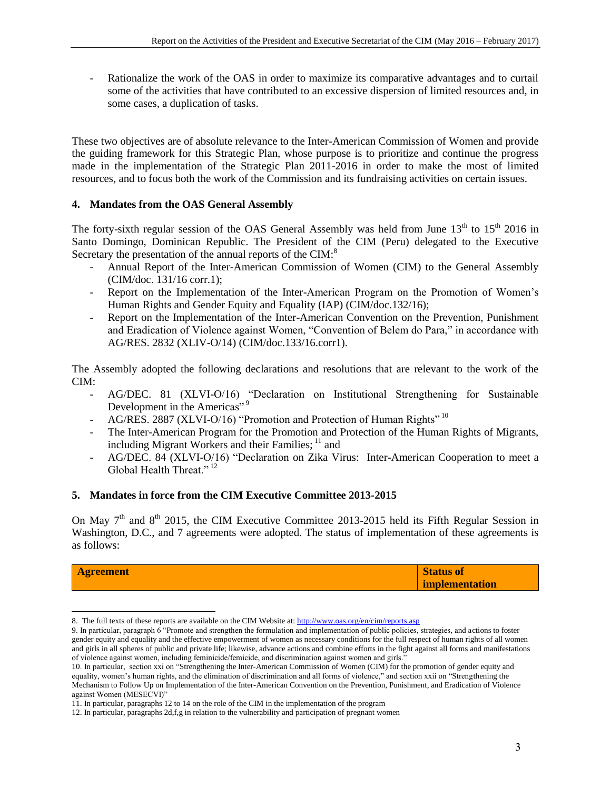Rationalize the work of the OAS in order to maximize its comparative advantages and to curtail some of the activities that have contributed to an excessive dispersion of limited resources and, in some cases, a duplication of tasks.

These two objectives are of absolute relevance to the Inter-American Commission of Women and provide the guiding framework for this Strategic Plan, whose purpose is to prioritize and continue the progress made in the implementation of the Strategic Plan 2011-2016 in order to make the most of limited resources, and to focus both the work of the Commission and its fundraising activities on certain issues.

### **4. Mandates from the OAS General Assembly**

The forty-sixth regular session of the OAS General Assembly was held from June 13<sup>th</sup> to 15<sup>th</sup> 2016 in Santo Domingo, Dominican Republic. The President of the CIM (Peru) delegated to the Executive Secretary the presentation of the annual reports of the CIM: $^8$ 

- Annual Report of the Inter-American Commission of Women (CIM) to the General Assembly (CIM/doc. 131/16 corr.1);
- Report on the Implementation of the Inter-American Program on the Promotion of Women's Human Rights and Gender Equity and Equality (IAP) (CIM/doc.132/16);
- Report on the Implementation of the Inter-American Convention on the Prevention, Punishment and Eradication of Violence against Women, "Convention of Belem do Para," in accordance with AG/RES. 2832 (XLIV-O/14) (CIM/doc.133/16.corr1).

The Assembly adopted the following declarations and resolutions that are relevant to the work of the CIM:

- AG/DEC. 81 (XLVI-O/16) "Declaration on Institutional Strengthening for Sustainable Development in the Americas"<sup>9</sup>
- AG/RES. 2887 (XLVI-O/16) "Promotion and Protection of Human Rights"  $^{10}$
- The Inter-American Program for the Promotion and Protection of the Human Rights of Migrants, including Migrant Workers and their Families;  $<sup>11</sup>$  and</sup>
- AG/DEC. 84 (XLVI-O/16) "Declaration on Zika Virus: Inter-American Cooperation to meet a Global Health Threat."<sup>12</sup>

#### **5. Mandates in force from the CIM Executive Committee 2013-2015**

On May  $7<sup>th</sup>$  and  $8<sup>th</sup>$  2015, the CIM Executive Committee 2013-2015 held its Fifth Regular Session in Washington, D.C., and 7 agreements were adopted. The status of implementation of these agreements is as follows:

| Agreement | <b>Status of</b>      |
|-----------|-----------------------|
|           | <i>implementation</i> |

<sup>8.</sup> The full texts of these reports are available on the CIM Website at[: http://www.oas.org/en/cim/reports.asp](http://www.oas.org/en/cim/reports.asp)

<sup>9.</sup> In particular, paragraph  $\vec{6}$  "Promote and strengthen the formulation and implementation of public policies, strategies, and actions to foster gender equity and equality and the effective empowerment of women as necessary conditions for the full respect of human rights of all women and girls in all spheres of public and private life; likewise, advance actions and combine efforts in the fight against all forms and manifestations of violence against women, including feminicide/femicide, and discrimination against women and girls."

<sup>10.</sup> In particular, section xxi on "Strengthening the Inter-American Commission of Women (CIM) for the promotion of gender equity and equality, women's human rights, and the elimination of discrimination and all forms of violence," and section xxii on "Strengthening the Mechanism to Follow Up on Implementation of the Inter-American Convention on the Prevention, Punishment, and Eradication of Violence against Women (MESECVI)"

<sup>11.</sup> In particular, paragraphs 12 to 14 on the role of the CIM in the implementation of the program

<sup>12.</sup> In particular, paragraphs 2d,f,g in relation to the vulnerability and participation of pregnant women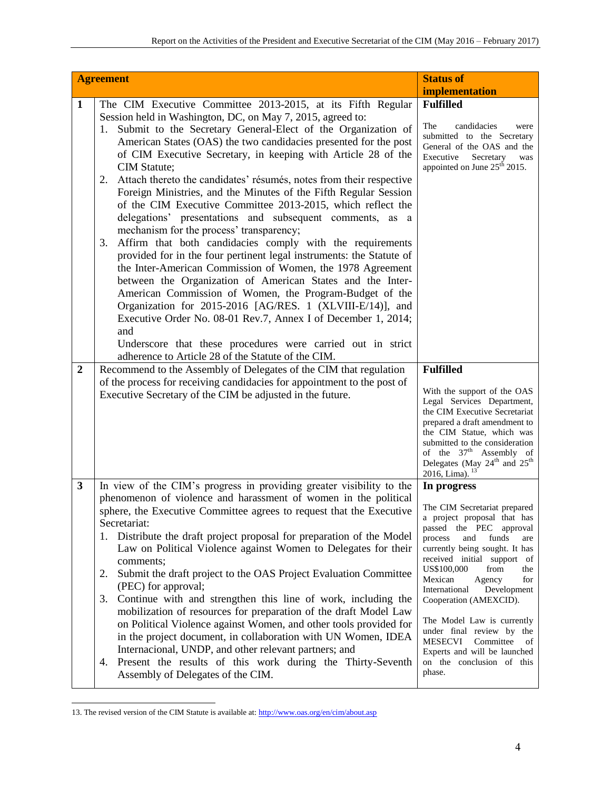|                                                                                                                                                                                                                                                                                                                                                                                                                                                                                                                                                                                                                                                                                                                                                                                                                                                                                                                                                                                                                                                                                                                                                  | <b>Status of</b>                                                                                                                                                                                                                                                                                                                                                                                                                                                           |
|--------------------------------------------------------------------------------------------------------------------------------------------------------------------------------------------------------------------------------------------------------------------------------------------------------------------------------------------------------------------------------------------------------------------------------------------------------------------------------------------------------------------------------------------------------------------------------------------------------------------------------------------------------------------------------------------------------------------------------------------------------------------------------------------------------------------------------------------------------------------------------------------------------------------------------------------------------------------------------------------------------------------------------------------------------------------------------------------------------------------------------------------------|----------------------------------------------------------------------------------------------------------------------------------------------------------------------------------------------------------------------------------------------------------------------------------------------------------------------------------------------------------------------------------------------------------------------------------------------------------------------------|
|                                                                                                                                                                                                                                                                                                                                                                                                                                                                                                                                                                                                                                                                                                                                                                                                                                                                                                                                                                                                                                                                                                                                                  |                                                                                                                                                                                                                                                                                                                                                                                                                                                                            |
|                                                                                                                                                                                                                                                                                                                                                                                                                                                                                                                                                                                                                                                                                                                                                                                                                                                                                                                                                                                                                                                                                                                                                  | implementation                                                                                                                                                                                                                                                                                                                                                                                                                                                             |
| The CIM Executive Committee 2013-2015, at its Fifth Regular<br>Session held in Washington, DC, on May 7, 2015, agreed to:<br>1. Submit to the Secretary General-Elect of the Organization of<br>American States (OAS) the two candidacies presented for the post<br>of CIM Executive Secretary, in keeping with Article 28 of the<br>CIM Statute;<br>Attach thereto the candidates' résumés, notes from their respective<br>2.<br>Foreign Ministries, and the Minutes of the Fifth Regular Session<br>of the CIM Executive Committee 2013-2015, which reflect the<br>delegations' presentations and subsequent comments, as a<br>mechanism for the process' transparency;<br>Affirm that both candidacies comply with the requirements<br>3.<br>provided for in the four pertinent legal instruments: the Statute of<br>the Inter-American Commission of Women, the 1978 Agreement<br>between the Organization of American States and the Inter-<br>American Commission of Women, the Program-Budget of the<br>Organization for 2015-2016 [AG/RES. 1 (XLVIII-E/14)], and<br>Executive Order No. 08-01 Rev.7, Annex I of December 1, 2014;<br>and | <b>Fulfilled</b><br>The<br>candidacies<br>were<br>submitted to the Secretary<br>General of the OAS and the<br>Executive<br>Secretary<br>was<br>appointed on June 25 <sup>th</sup> 2015.                                                                                                                                                                                                                                                                                    |
|                                                                                                                                                                                                                                                                                                                                                                                                                                                                                                                                                                                                                                                                                                                                                                                                                                                                                                                                                                                                                                                                                                                                                  |                                                                                                                                                                                                                                                                                                                                                                                                                                                                            |
|                                                                                                                                                                                                                                                                                                                                                                                                                                                                                                                                                                                                                                                                                                                                                                                                                                                                                                                                                                                                                                                                                                                                                  |                                                                                                                                                                                                                                                                                                                                                                                                                                                                            |
| of the process for receiving candidacies for appointment to the post of<br>Executive Secretary of the CIM be adjusted in the future.                                                                                                                                                                                                                                                                                                                                                                                                                                                                                                                                                                                                                                                                                                                                                                                                                                                                                                                                                                                                             | <b>Fulfilled</b><br>With the support of the OAS<br>Legal Services Department,<br>the CIM Executive Secretariat<br>prepared a draft amendment to<br>the CIM Statue, which was<br>submitted to the consideration<br>of the 37 <sup>th</sup> Assembly of<br>Delegates (May 24 <sup>th</sup> and 25 <sup>th</sup><br>2016, Lima). <sup>13</sup>                                                                                                                                |
|                                                                                                                                                                                                                                                                                                                                                                                                                                                                                                                                                                                                                                                                                                                                                                                                                                                                                                                                                                                                                                                                                                                                                  | In progress                                                                                                                                                                                                                                                                                                                                                                                                                                                                |
| phenomenon of violence and harassment of women in the political<br>sphere, the Executive Committee agrees to request that the Executive<br>Secretariat:<br>1. Distribute the draft project proposal for preparation of the Model<br>Law on Political Violence against Women to Delegates for their<br>comments;<br>Submit the draft project to the OAS Project Evaluation Committee<br>2.<br>(PEC) for approval;<br>Continue with and strengthen this line of work, including the<br>3.<br>mobilization of resources for preparation of the draft Model Law<br>on Political Violence against Women, and other tools provided for<br>in the project document, in collaboration with UN Women, IDEA<br>Internacional, UNDP, and other relevant partners; and<br>Present the results of this work during the Thirty-Seventh<br>4.                                                                                                                                                                                                                                                                                                                   | The CIM Secretariat prepared<br>a project proposal that has<br>passed the PEC approval<br>and<br>funds<br>process<br>are<br>currently being sought. It has<br>received initial support of<br>US\$100,000<br>from<br>the<br>Mexican<br>for<br>Agency<br>Development<br>International<br>Cooperation (AMEXCID).<br>The Model Law is currently<br>under final review by the<br>MESECVI Committee<br>οf<br>Experts and will be launched<br>on the conclusion of this<br>phase. |
|                                                                                                                                                                                                                                                                                                                                                                                                                                                                                                                                                                                                                                                                                                                                                                                                                                                                                                                                                                                                                                                                                                                                                  | <b>Agreement</b><br>Underscore that these procedures were carried out in strict<br>adherence to Article 28 of the Statute of the CIM.<br>Recommend to the Assembly of Delegates of the CIM that regulation<br>In view of the CIM's progress in providing greater visibility to the<br>Assembly of Delegates of the CIM.                                                                                                                                                    |

<sup>13.</sup> The revised version of the CIM Statute is available at[: http://www.oas.org/en/cim/about.asp](http://www.oas.org/en/cim/about.asp)

 $\overline{a}$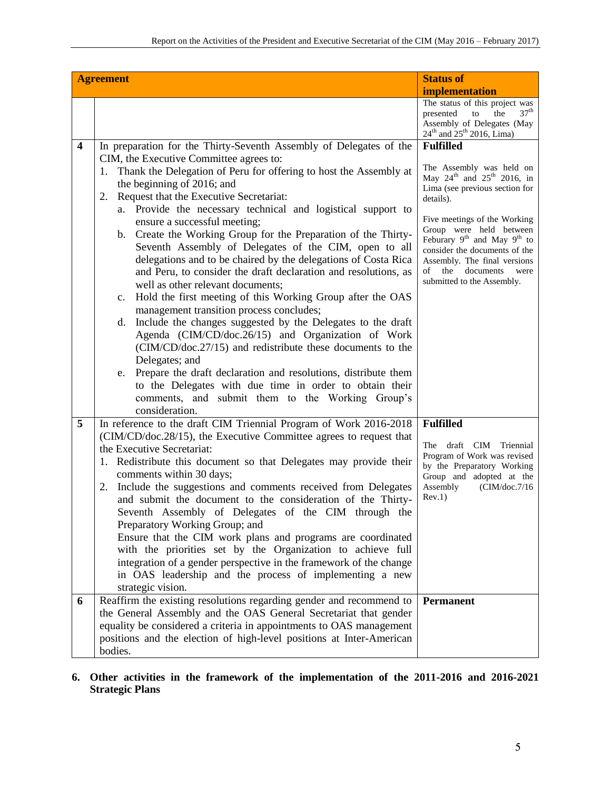|                         | <b>Agreement</b>                                                                                                                                                                                                                                                                                                                                                                                                                                                                                                                                                                                                                                                                                                                                                                                                                                                                                                                                                                                                                                                                                                                                                                                                 | <b>Status of</b>                                                                                                                                                                                                                                                                                                                                                      |
|-------------------------|------------------------------------------------------------------------------------------------------------------------------------------------------------------------------------------------------------------------------------------------------------------------------------------------------------------------------------------------------------------------------------------------------------------------------------------------------------------------------------------------------------------------------------------------------------------------------------------------------------------------------------------------------------------------------------------------------------------------------------------------------------------------------------------------------------------------------------------------------------------------------------------------------------------------------------------------------------------------------------------------------------------------------------------------------------------------------------------------------------------------------------------------------------------------------------------------------------------|-----------------------------------------------------------------------------------------------------------------------------------------------------------------------------------------------------------------------------------------------------------------------------------------------------------------------------------------------------------------------|
|                         |                                                                                                                                                                                                                                                                                                                                                                                                                                                                                                                                                                                                                                                                                                                                                                                                                                                                                                                                                                                                                                                                                                                                                                                                                  | implementation                                                                                                                                                                                                                                                                                                                                                        |
|                         |                                                                                                                                                                                                                                                                                                                                                                                                                                                                                                                                                                                                                                                                                                                                                                                                                                                                                                                                                                                                                                                                                                                                                                                                                  | The status of this project was<br>37 <sup>th</sup><br>the<br>presented<br>to<br>Assembly of Delegates (May<br>$24th$ and $25th$ 2016, Lima)                                                                                                                                                                                                                           |
| $\overline{\mathbf{4}}$ | In preparation for the Thirty-Seventh Assembly of Delegates of the<br>CIM, the Executive Committee agrees to:<br>Thank the Delegation of Peru for offering to host the Assembly at<br>1.<br>the beginning of 2016; and<br>Request that the Executive Secretariat:<br>2.<br>a. Provide the necessary technical and logistical support to<br>ensure a successful meeting;<br>b. Create the Working Group for the Preparation of the Thirty-<br>Seventh Assembly of Delegates of the CIM, open to all<br>delegations and to be chaired by the delegations of Costa Rica<br>and Peru, to consider the draft declaration and resolutions, as<br>well as other relevant documents;<br>Hold the first meeting of this Working Group after the OAS<br>c.<br>management transition process concludes;<br>Include the changes suggested by the Delegates to the draft<br>d.<br>Agenda (CIM/CD/doc.26/15) and Organization of Work<br>(CIM/CD/doc.27/15) and redistribute these documents to the<br>Delegates; and<br>Prepare the draft declaration and resolutions, distribute them<br>e.<br>to the Delegates with due time in order to obtain their<br>comments, and submit them to the Working Group's<br>consideration. | <b>Fulfilled</b><br>The Assembly was held on<br>May $24^{th}$ and $25^{th}$ 2016, in<br>Lima (see previous section for<br>details).<br>Five meetings of the Working<br>Group were held between<br>Feburary $9^{th}$ and May $9^{th}$ to<br>consider the documents of the<br>Assembly. The final versions<br>the documents<br>of<br>were<br>submitted to the Assembly. |
| 5                       | In reference to the draft CIM Triennial Program of Work 2016-2018<br>(CIM/CD/doc.28/15), the Executive Committee agrees to request that<br>the Executive Secretariat:<br>1. Redistribute this document so that Delegates may provide their<br>comments within 30 days;<br>2. Include the suggestions and comments received from Delegates<br>and submit the document to the consideration of the Thirty-<br>Seventh Assembly of Delegates of the CIM through the<br>Preparatory Working Group; and<br>Ensure that the CIM work plans and programs are coordinated<br>with the priorities set by the Organization to achieve full<br>integration of a gender perspective in the framework of the change<br>in OAS leadership and the process of implementing a new<br>strategic vision.                                                                                                                                                                                                                                                                                                                                                                                                                           | <b>Fulfilled</b><br>The draft CIM Triennial<br>Program of Work was revised<br>by the Preparatory Working<br>Group and adopted at the<br>Assembly<br>(ClM/doc.7/16)<br>Rev.1)                                                                                                                                                                                          |
| 6                       | Reaffirm the existing resolutions regarding gender and recommend to<br>the General Assembly and the OAS General Secretariat that gender<br>equality be considered a criteria in appointments to OAS management<br>positions and the election of high-level positions at Inter-American<br>bodies.                                                                                                                                                                                                                                                                                                                                                                                                                                                                                                                                                                                                                                                                                                                                                                                                                                                                                                                | <b>Permanent</b>                                                                                                                                                                                                                                                                                                                                                      |

### **6. Other activities in the framework of the implementation of the 2011-2016 and 2016-2021 Strategic Plans**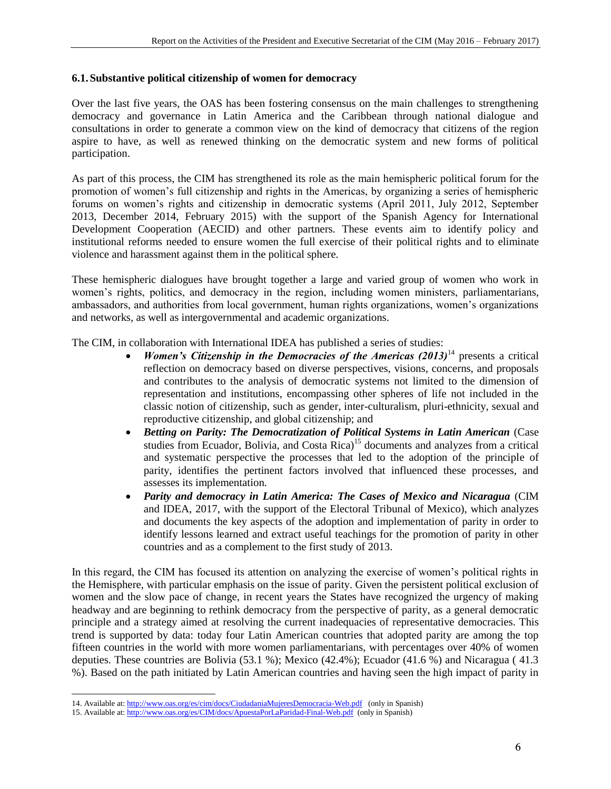#### **6.1.Substantive political citizenship of women for democracy**

Over the last five years, the OAS has been fostering consensus on the main challenges to strengthening democracy and governance in Latin America and the Caribbean through national dialogue and consultations in order to generate a common view on the kind of democracy that citizens of the region aspire to have, as well as renewed thinking on the democratic system and new forms of political participation.

As part of this process, the CIM has strengthened its role as the main hemispheric political forum for the promotion of women's full citizenship and rights in the Americas, by organizing a series of hemispheric forums on women's rights and citizenship in democratic systems (April 2011, July 2012, September 2013, December 2014, February 2015) with the support of the Spanish Agency for International Development Cooperation (AECID) and other partners. These events aim to identify policy and institutional reforms needed to ensure women the full exercise of their political rights and to eliminate violence and harassment against them in the political sphere.

These hemispheric dialogues have brought together a large and varied group of women who work in women's rights, politics, and democracy in the region, including women ministers, parliamentarians, ambassadors, and authorities from local government, human rights organizations, women's organizations and networks, as well as intergovernmental and academic organizations.

The CIM, in collaboration with International IDEA has published a series of studies:

- *Women's Citizenship in the Democracies of the Americas (2013)*<sup>14</sup> presents a critical reflection on democracy based on diverse perspectives, visions, concerns, and proposals and contributes to the analysis of democratic systems not limited to the dimension of representation and institutions, encompassing other spheres of life not included in the classic notion of citizenship, such as gender, inter-culturalism, pluri-ethnicity, sexual and reproductive citizenship, and global citizenship; and
- *Betting on Parity: The Democratization of Political Systems in Latin American* (Case studies from Ecuador, Bolivia, and Costa Rica)<sup>15</sup> documents and analyzes from a critical and systematic perspective the processes that led to the adoption of the principle of parity, identifies the pertinent factors involved that influenced these processes, and assesses its implementation.
- *Parity and democracy in Latin America: The Cases of Mexico and Nicaragua* (CIM and IDEA, 2017, with the support of the Electoral Tribunal of Mexico), which analyzes and documents the key aspects of the adoption and implementation of parity in order to identify lessons learned and extract useful teachings for the promotion of parity in other countries and as a complement to the first study of 2013.

In this regard, the CIM has focused its attention on analyzing the exercise of women's political rights in the Hemisphere, with particular emphasis on the issue of parity. Given the persistent political exclusion of women and the slow pace of change, in recent years the States have recognized the urgency of making headway and are beginning to rethink democracy from the perspective of parity, as a general democratic principle and a strategy aimed at resolving the current inadequacies of representative democracies. This trend is supported by data: today four Latin American countries that adopted parity are among the top fifteen countries in the world with more women parliamentarians, with percentages over 40% of women deputies. These countries are Bolivia (53.1 %); Mexico (42.4%); Ecuador (41.6 %) and Nicaragua ( 41.3 %). Based on the path initiated by Latin American countries and having seen the high impact of parity in

 14. Available at[: http://www.oas.org/es/cim/docs/CiudadaniaMujeresDemocracia-Web.pdf](http://www.oas.org/es/cim/docs/CiudadaniaMujeresDemocracia-Web.pdf) (only in Spanish)

<sup>15.</sup> Available at[: http://www.oas.org/es/CIM/docs/ApuestaPorLaParidad-Final-Web.pdf](http://www.oas.org/es/CIM/docs/ApuestaPorLaParidad-Final-Web.pdf) (only in Spanish)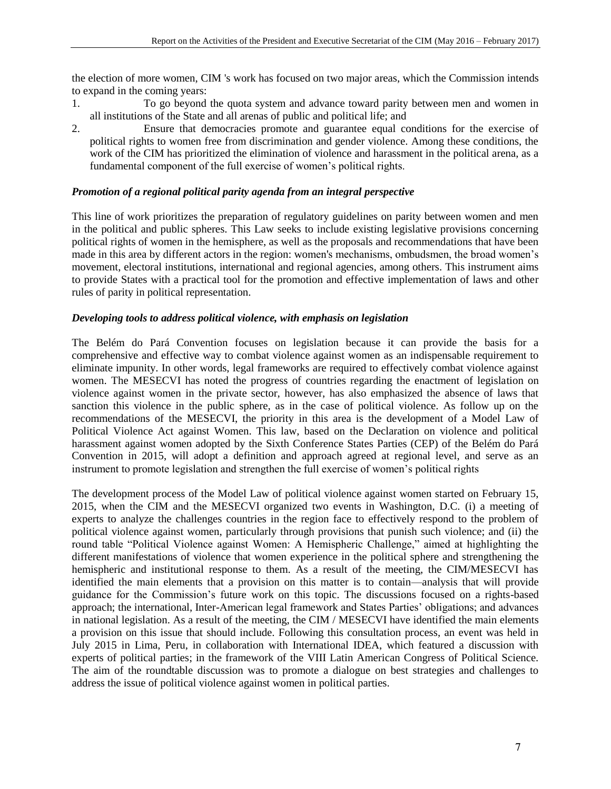the election of more women, CIM 's work has focused on two major areas, which the Commission intends to expand in the coming years:

- 1. To go beyond the quota system and advance toward parity between men and women in all institutions of the State and all arenas of public and political life; and
- 2. Ensure that democracies promote and guarantee equal conditions for the exercise of political rights to women free from discrimination and gender violence. Among these conditions, the work of the CIM has prioritized the elimination of violence and harassment in the political arena, as a fundamental component of the full exercise of women's political rights.

### *Promotion of a regional political parity agenda from an integral perspective*

This line of work prioritizes the preparation of regulatory guidelines on parity between women and men in the political and public spheres. This Law seeks to include existing legislative provisions concerning political rights of women in the hemisphere, as well as the proposals and recommendations that have been made in this area by different actors in the region: women's mechanisms, ombudsmen, the broad women's movement, electoral institutions, international and regional agencies, among others. This instrument aims to provide States with a practical tool for the promotion and effective implementation of laws and other rules of parity in political representation.

### *Developing tools to address political violence, with emphasis on legislation*

The Belém do Pará Convention focuses on legislation because it can provide the basis for a comprehensive and effective way to combat violence against women as an indispensable requirement to eliminate impunity. In other words, legal frameworks are required to effectively combat violence against women. The MESECVI has noted the progress of countries regarding the enactment of legislation on violence against women in the private sector, however, has also emphasized the absence of laws that sanction this violence in the public sphere, as in the case of political violence. As follow up on the recommendations of the MESECVI, the priority in this area is the development of a Model Law of Political Violence Act against Women. This law, based on the Declaration on violence and political harassment against women adopted by the Sixth Conference States Parties (CEP) of the Belém do Pará Convention in 2015, will adopt a definition and approach agreed at regional level, and serve as an instrument to promote legislation and strengthen the full exercise of women's political rights

The development process of the Model Law of political violence against women started on February 15, 2015, when the CIM and the MESECVI organized two events in Washington, D.C. (i) a meeting of experts to analyze the challenges countries in the region face to effectively respond to the problem of political violence against women, particularly through provisions that punish such violence; and (ii) the round table "Political Violence against Women: A Hemispheric Challenge," aimed at highlighting the different manifestations of violence that women experience in the political sphere and strengthening the hemispheric and institutional response to them. As a result of the meeting, the CIM/MESECVI has identified the main elements that a provision on this matter is to contain—analysis that will provide guidance for the Commission's future work on this topic. The discussions focused on a rights-based approach; the international, Inter-American legal framework and States Parties' obligations; and advances in national legislation. As a result of the meeting, the CIM / MESECVI have identified the main elements a provision on this issue that should include. Following this consultation process, an event was held in July 2015 in Lima, Peru, in collaboration with International IDEA, which featured a discussion with experts of political parties; in the framework of the VIII Latin American Congress of Political Science. The aim of the roundtable discussion was to promote a dialogue on best strategies and challenges to address the issue of political violence against women in political parties.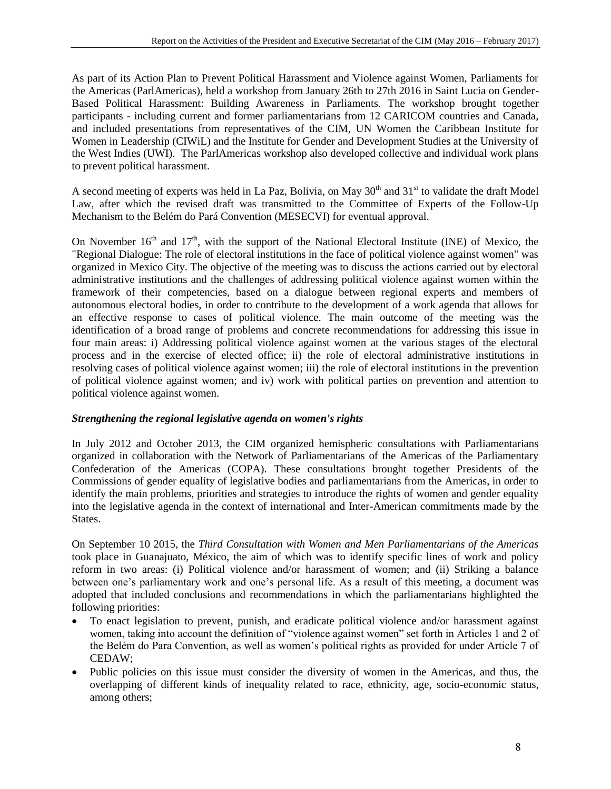As part of its Action Plan to Prevent Political Harassment and Violence against Women, Parliaments for the Americas (ParlAmericas), held a workshop from January 26th to 27th 2016 in Saint Lucia on Gender-Based Political Harassment: Building Awareness in Parliaments. The workshop brought together participants - including current and former parliamentarians from 12 CARICOM countries and Canada, and included presentations from representatives of the CIM, UN Women the Caribbean Institute for Women in Leadership (CIWiL) and the Institute for Gender and Development Studies at the University of the West Indies (UWI). The ParlAmericas workshop also developed collective and individual work plans to prevent political harassment.

A second meeting of experts was held in La Paz, Bolivia, on May  $30<sup>th</sup>$  and  $31<sup>st</sup>$  to validate the draft Model Law, after which the revised draft was transmitted to the Committee of Experts of the Follow-Up Mechanism to the Belém do Pará Convention (MESECVI) for eventual approval.

On November  $16<sup>th</sup>$  and  $17<sup>th</sup>$ , with the support of the National Electoral Institute (INE) of Mexico, the "Regional Dialogue: The role of electoral institutions in the face of political violence against women" was organized in Mexico City. The objective of the meeting was to discuss the actions carried out by electoral administrative institutions and the challenges of addressing political violence against women within the framework of their competencies, based on a dialogue between regional experts and members of autonomous electoral bodies, in order to contribute to the development of a work agenda that allows for an effective response to cases of political violence. The main outcome of the meeting was the identification of a broad range of problems and concrete recommendations for addressing this issue in four main areas: i) Addressing political violence against women at the various stages of the electoral process and in the exercise of elected office; ii) the role of electoral administrative institutions in resolving cases of political violence against women; iii) the role of electoral institutions in the prevention of political violence against women; and iv) work with political parties on prevention and attention to political violence against women.

### *Strengthening the regional legislative agenda on women's rights*

In July 2012 and October 2013, the CIM organized hemispheric consultations with Parliamentarians organized in collaboration with the Network of Parliamentarians of the Americas of the Parliamentary Confederation of the Americas (COPA). These consultations brought together Presidents of the Commissions of gender equality of legislative bodies and parliamentarians from the Americas, in order to identify the main problems, priorities and strategies to introduce the rights of women and gender equality into the legislative agenda in the context of international and Inter-American commitments made by the States.

On September 10 2015, the *Third Consultation with Women and Men Parliamentarians of the Americas* took place in Guanajuato, México, the aim of which was to identify specific lines of work and policy reform in two areas: (i) Political violence and/or harassment of women; and (ii) Striking a balance between one's parliamentary work and one's personal life. As a result of this meeting, a document was adopted that included conclusions and recommendations in which the parliamentarians highlighted the following priorities:

- To enact legislation to prevent, punish, and eradicate political violence and/or harassment against women, taking into account the definition of "violence against women" set forth in Articles 1 and 2 of the Belém do Para Convention, as well as women's political rights as provided for under Article 7 of CEDAW;
- Public policies on this issue must consider the diversity of women in the Americas, and thus, the overlapping of different kinds of inequality related to race, ethnicity, age, socio-economic status, among others;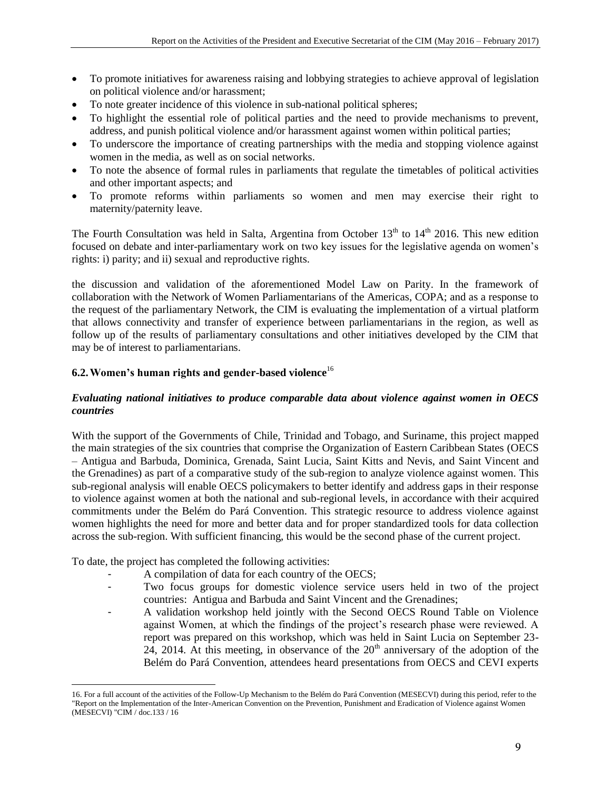- To promote initiatives for awareness raising and lobbying strategies to achieve approval of legislation on political violence and/or harassment;
- To note greater incidence of this violence in sub-national political spheres;
- To highlight the essential role of political parties and the need to provide mechanisms to prevent, address, and punish political violence and/or harassment against women within political parties;
- To underscore the importance of creating partnerships with the media and stopping violence against women in the media, as well as on social networks.
- To note the absence of formal rules in parliaments that regulate the timetables of political activities and other important aspects; and
- To promote reforms within parliaments so women and men may exercise their right to maternity/paternity leave.

The Fourth Consultation was held in Salta, Argentina from October  $13<sup>th</sup>$  to  $14<sup>th</sup>$  2016. This new edition focused on debate and inter-parliamentary work on two key issues for the legislative agenda on women's rights: i) parity; and ii) sexual and reproductive rights.

the discussion and validation of the aforementioned Model Law on Parity. In the framework of collaboration with the Network of Women Parliamentarians of the Americas, COPA; and as a response to the request of the parliamentary Network, the CIM is evaluating the implementation of a virtual platform that allows connectivity and transfer of experience between parliamentarians in the region, as well as follow up of the results of parliamentary consultations and other initiatives developed by the CIM that may be of interest to parliamentarians.

## **6.2.Women's human rights and gender-based violence**<sup>16</sup>

#### *Evaluating national initiatives to produce comparable data about violence against women in OECS countries*

With the support of the Governments of Chile, Trinidad and Tobago, and Suriname, this project mapped the main strategies of the six countries that comprise the Organization of Eastern Caribbean States (OECS – Antigua and Barbuda, Dominica, Grenada, Saint Lucia, Saint Kitts and Nevis, and Saint Vincent and the Grenadines) as part of a comparative study of the sub-region to analyze violence against women. This sub-regional analysis will enable OECS policymakers to better identify and address gaps in their response to violence against women at both the national and sub-regional levels, in accordance with their acquired commitments under the Belém do Pará Convention. This strategic resource to address violence against women highlights the need for more and better data and for proper standardized tools for data collection across the sub-region. With sufficient financing, this would be the second phase of the current project.

To date, the project has completed the following activities:

 $\overline{a}$ 

- A compilation of data for each country of the OECS;
- Two focus groups for domestic violence service users held in two of the project countries: Antigua and Barbuda and Saint Vincent and the Grenadines;
- A validation workshop held jointly with the Second OECS Round Table on Violence against Women, at which the findings of the project's research phase were reviewed. A report was prepared on this workshop, which was held in Saint Lucia on September 23- 24, 2014. At this meeting, in observance of the  $20<sup>th</sup>$  anniversary of the adoption of the Belém do Pará Convention, attendees heard presentations from OECS and CEVI experts

<sup>16.</sup> For a full account of the activities of the Follow-Up Mechanism to the Belém do Pará Convention (MESECVI) during this period, refer to the "Report on the Implementation of the Inter-American Convention on the Prevention, Punishment and Eradication of Violence against Women (MESECVI) "CIM / doc.133 / 16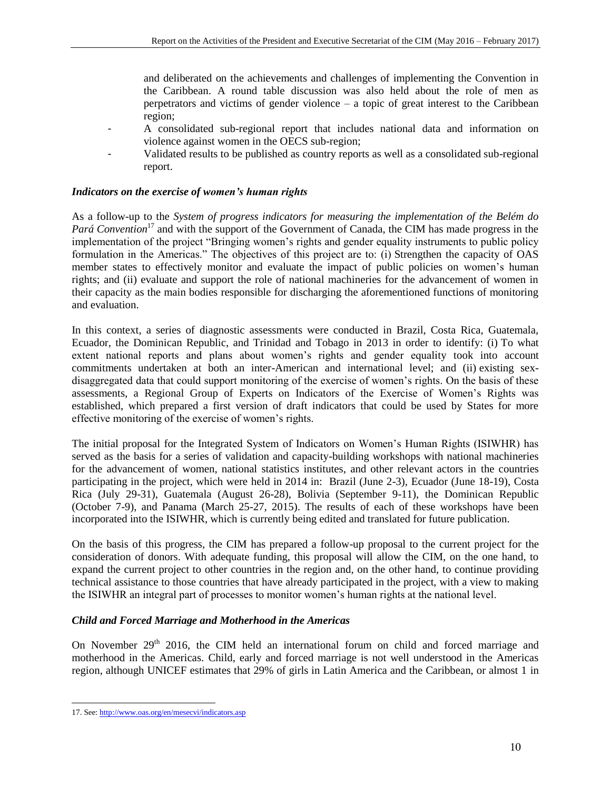and deliberated on the achievements and challenges of implementing the Convention in the Caribbean. A round table discussion was also held about the role of men as perpetrators and victims of gender violence – a topic of great interest to the Caribbean region;

- A consolidated sub-regional report that includes national data and information on violence against women in the OECS sub-region;
- Validated results to be published as country reports as well as a consolidated sub-regional report.

### *Indicators on the exercise of women's human rights*

As a follow-up to the *System of progress indicators for measuring the implementation of the Belém do Pará Convention*<sup>17</sup> and with the support of the Government of Canada, the CIM has made progress in the implementation of the project "Bringing women's rights and gender equality instruments to public policy formulation in the Americas." The objectives of this project are to: (i) Strengthen the capacity of OAS member states to effectively monitor and evaluate the impact of public policies on women's human rights; and (ii) evaluate and support the role of national machineries for the advancement of women in their capacity as the main bodies responsible for discharging the aforementioned functions of monitoring and evaluation.

In this context, a series of diagnostic assessments were conducted in Brazil, Costa Rica, Guatemala, Ecuador, the Dominican Republic, and Trinidad and Tobago in 2013 in order to identify: (i) To what extent national reports and plans about women's rights and gender equality took into account commitments undertaken at both an inter-American and international level; and (ii) existing sexdisaggregated data that could support monitoring of the exercise of women's rights. On the basis of these assessments, a Regional Group of Experts on Indicators of the Exercise of Women's Rights was established, which prepared a first version of draft indicators that could be used by States for more effective monitoring of the exercise of women's rights.

The initial proposal for the Integrated System of Indicators on Women's Human Rights (ISIWHR) has served as the basis for a series of validation and capacity-building workshops with national machineries for the advancement of women, national statistics institutes, and other relevant actors in the countries participating in the project, which were held in 2014 in: Brazil (June 2-3), Ecuador (June 18-19), Costa Rica (July 29-31), Guatemala (August 26-28), Bolivia (September 9-11), the Dominican Republic (October 7-9), and Panama (March 25-27, 2015). The results of each of these workshops have been incorporated into the ISIWHR, which is currently being edited and translated for future publication.

On the basis of this progress, the CIM has prepared a follow-up proposal to the current project for the consideration of donors. With adequate funding, this proposal will allow the CIM, on the one hand, to expand the current project to other countries in the region and, on the other hand, to continue providing technical assistance to those countries that have already participated in the project, with a view to making the ISIWHR an integral part of processes to monitor women's human rights at the national level.

### *Child and Forced Marriage and Motherhood in the Americas*

On November  $29<sup>th</sup>$  2016, the CIM held an international forum on child and forced marriage and motherhood in the Americas. Child, early and forced marriage is not well understood in the Americas region, although UNICEF estimates that 29% of girls in Latin America and the Caribbean, or almost 1 in

 $\overline{a}$ 

<sup>17.</sup> See: <http://www.oas.org/en/mesecvi/indicators.asp>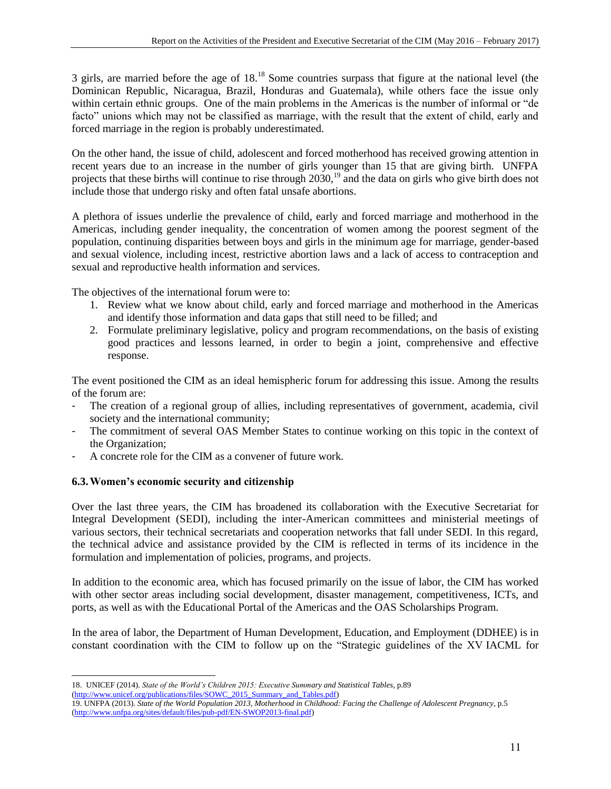3 girls, are married before the age of 18.<sup>18</sup> Some countries surpass that figure at the national level (the Dominican Republic, Nicaragua, Brazil, Honduras and Guatemala), while others face the issue only within certain ethnic groups. One of the main problems in the Americas is the number of informal or "de facto" unions which may not be classified as marriage, with the result that the extent of child, early and forced marriage in the region is probably underestimated.

On the other hand, the issue of child, adolescent and forced motherhood has received growing attention in recent years due to an increase in the number of girls younger than 15 that are giving birth. UNFPA projects that these births will continue to rise through 2030,<sup>19</sup> and the data on girls who give birth does not include those that undergo risky and often fatal unsafe abortions.

A plethora of issues underlie the prevalence of child, early and forced marriage and motherhood in the Americas, including gender inequality, the concentration of women among the poorest segment of the population, continuing disparities between boys and girls in the minimum age for marriage, gender-based and sexual violence, including incest, restrictive abortion laws and a lack of access to contraception and sexual and reproductive health information and services.

The objectives of the international forum were to:

- 1. Review what we know about child, early and forced marriage and motherhood in the Americas and identify those information and data gaps that still need to be filled; and
- 2. Formulate preliminary legislative, policy and program recommendations, on the basis of existing good practices and lessons learned, in order to begin a joint, comprehensive and effective response.

The event positioned the CIM as an ideal hemispheric forum for addressing this issue. Among the results of the forum are:

- The creation of a regional group of allies, including representatives of government, academia, civil society and the international community;
- The commitment of several OAS Member States to continue working on this topic in the context of the Organization;
- A concrete role for the CIM as a convener of future work.

## **6.3.Women's economic security and citizenship**

Over the last three years, the CIM has broadened its collaboration with the Executive Secretariat for Integral Development (SEDI), including the inter-American committees and ministerial meetings of various sectors, their technical secretariats and cooperation networks that fall under SEDI. In this regard, the technical advice and assistance provided by the CIM is reflected in terms of its incidence in the formulation and implementation of policies, programs, and projects.

In addition to the economic area, which has focused primarily on the issue of labor, the CIM has worked with other sector areas including social development, disaster management, competitiveness, ICTs, and ports, as well as with the Educational Portal of the Americas and the OAS Scholarships Program.

In the area of labor, the Department of Human Development, Education, and Employment (DDHEE) is in constant coordination with the CIM to follow up on the "Strategic guidelines of the XV IACML for

<sup>18.</sup> UNICEF (2014). *State of the World's Children 2015: Executive Summary and Statistical Tables*, p.89 [\(http://www.unicef.org/publications/files/SOWC\\_2015\\_Summary\\_and\\_Tables.pdf\)](http://www.unicef.org/publications/files/SOWC_2015_Summary_and_Tables.pdf)

<sup>19.</sup> UNFPA (2013). *State of the World Population 2013, Motherhood in Childhood: Facing the Challenge of Adolescent Pregnancy*, p.5 [\(http://www.unfpa.org/sites/default/files/pub-pdf/EN-SWOP2013-final.pdf\)](http://www.unfpa.org/sites/default/files/pub-pdf/EN-SWOP2013-final.pdf)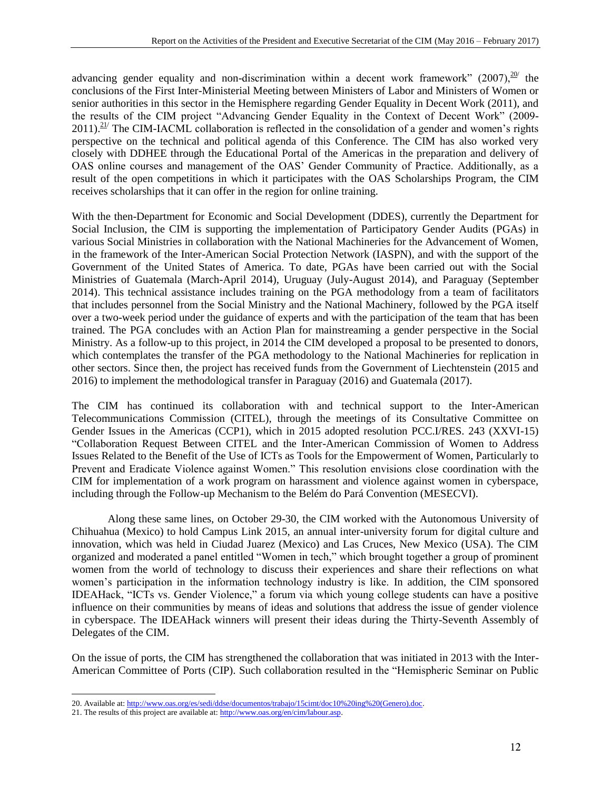advancing gender equality and non-discrimination within a decent work framework" (2007),  $20^{\circ}$  the conclusions of the First Inter-Ministerial Meeting between Ministers of Labor and Ministers of Women or senior authorities in this sector in the Hemisphere regarding Gender Equality in Decent Work (2011), and the results of the CIM project "Advancing Gender Equality in the Context of Decent Work" (2009-  $2011$ ).<sup>21/</sup> The CIM-IACML collaboration is reflected in the consolidation of a gender and women's rights perspective on the technical and political agenda of this Conference. The CIM has also worked very closely with DDHEE through the Educational Portal of the Americas in the preparation and delivery of OAS online courses and management of the OAS' Gender Community of Practice. Additionally, as a result of the open competitions in which it participates with the OAS Scholarships Program, the CIM receives scholarships that it can offer in the region for online training.

With the then-Department for Economic and Social Development (DDES), currently the Department for Social Inclusion, the CIM is supporting the implementation of Participatory Gender Audits (PGAs) in various Social Ministries in collaboration with the National Machineries for the Advancement of Women, in the framework of the Inter-American Social Protection Network (IASPN), and with the support of the Government of the United States of America. To date, PGAs have been carried out with the Social Ministries of Guatemala (March-April 2014), Uruguay (July-August 2014), and Paraguay (September 2014). This technical assistance includes training on the PGA methodology from a team of facilitators that includes personnel from the Social Ministry and the National Machinery, followed by the PGA itself over a two-week period under the guidance of experts and with the participation of the team that has been trained. The PGA concludes with an Action Plan for mainstreaming a gender perspective in the Social Ministry. As a follow-up to this project, in 2014 the CIM developed a proposal to be presented to donors, which contemplates the transfer of the PGA methodology to the National Machineries for replication in other sectors. Since then, the project has received funds from the Government of Liechtenstein (2015 and 2016) to implement the methodological transfer in Paraguay (2016) and Guatemala (2017).

The CIM has continued its collaboration with and technical support to the Inter-American Telecommunications Commission (CITEL), through the meetings of its Consultative Committee on Gender Issues in the Americas (CCP1), which in 2015 adopted resolution PCC.I/RES. 243 (XXVI-15) "Collaboration Request Between CITEL and the Inter-American Commission of Women to Address Issues Related to the Benefit of the Use of ICTs as Tools for the Empowerment of Women, Particularly to Prevent and Eradicate Violence against Women." This resolution envisions close coordination with the CIM for implementation of a work program on harassment and violence against women in cyberspace, including through the Follow-up Mechanism to the Belém do Pará Convention (MESECVI).

Along these same lines, on October 29-30, the CIM worked with the Autonomous University of Chihuahua (Mexico) to hold Campus Link 2015, an annual inter-university forum for digital culture and innovation, which was held in Ciudad Juarez (Mexico) and Las Cruces, New Mexico (USA). The CIM organized and moderated a panel entitled "Women in tech," which brought together a group of prominent women from the world of technology to discuss their experiences and share their reflections on what women's participation in the information technology industry is like. In addition, the CIM sponsored IDEAHack, "ICTs vs. Gender Violence," a forum via which young college students can have a positive influence on their communities by means of ideas and solutions that address the issue of gender violence in cyberspace. The IDEAHack winners will present their ideas during the Thirty-Seventh Assembly of Delegates of the CIM.

On the issue of ports, the CIM has strengthened the collaboration that was initiated in 2013 with the Inter-American Committee of Ports (CIP). Such collaboration resulted in the "Hemispheric Seminar on Public

 20. Available at[: http://www.oas.org/es/sedi/ddse/documentos/trabajo/15cimt/doc10%20ing%20\(Genero\).doc.](http://www.oas.org/es/sedi/ddse/documentos/trabajo/15cimt/doc10%20ing%20(Genero).doc)

<sup>21.</sup> The results of this project are available at[: http://www.oas.org/en/cim/labour.asp.](http://www.oas.org/en/cim/labour.asp)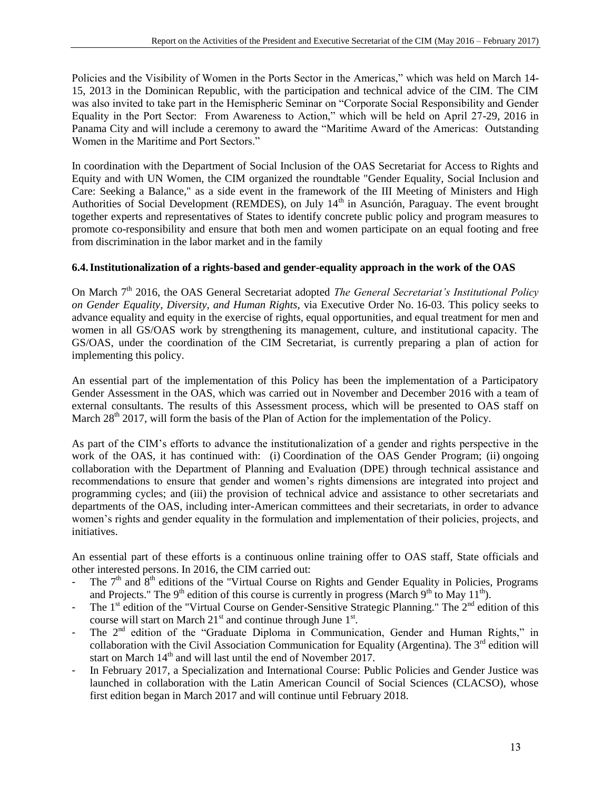Policies and the Visibility of Women in the Ports Sector in the Americas," which was held on March 14- 15, 2013 in the Dominican Republic, with the participation and technical advice of the CIM. The CIM was also invited to take part in the Hemispheric Seminar on "Corporate Social Responsibility and Gender Equality in the Port Sector: From Awareness to Action," which will be held on April 27-29, 2016 in Panama City and will include a ceremony to award the "Maritime Award of the Americas: Outstanding Women in the Maritime and Port Sectors."

In coordination with the Department of Social Inclusion of the OAS Secretariat for Access to Rights and Equity and with UN Women, the CIM organized the roundtable "Gender Equality, Social Inclusion and Care: Seeking a Balance," as a side event in the framework of the III Meeting of Ministers and High Authorities of Social Development (REMDES), on July  $14<sup>th</sup>$  in Asunción, Paraguay. The event brought together experts and representatives of States to identify concrete public policy and program measures to promote co-responsibility and ensure that both men and women participate on an equal footing and free from discrimination in the labor market and in the family

## **6.4.Institutionalization of a rights-based and gender-equality approach in the work of the OAS**

On March 7<sup>th</sup> 2016, the OAS General Secretariat adopted *The General Secretariat's Institutional Policy on Gender Equality, Diversity, and Human Rights*, via Executive Order No. 16-03. This policy seeks to advance equality and equity in the exercise of rights, equal opportunities, and equal treatment for men and women in all GS/OAS work by strengthening its management, culture, and institutional capacity. The GS/OAS, under the coordination of the CIM Secretariat, is currently preparing a plan of action for implementing this policy.

An essential part of the implementation of this Policy has been the implementation of a Participatory Gender Assessment in the OAS, which was carried out in November and December 2016 with a team of external consultants. The results of this Assessment process, which will be presented to OAS staff on March  $28<sup>th</sup>$  2017, will form the basis of the Plan of Action for the implementation of the Policy.

As part of the CIM's efforts to advance the institutionalization of a gender and rights perspective in the work of the OAS, it has continued with: (i) Coordination of the OAS Gender Program; (ii) ongoing collaboration with the Department of Planning and Evaluation (DPE) through technical assistance and recommendations to ensure that gender and women's rights dimensions are integrated into project and programming cycles; and (iii) the provision of technical advice and assistance to other secretariats and departments of the OAS, including inter-American committees and their secretariats, in order to advance women's rights and gender equality in the formulation and implementation of their policies, projects, and initiatives.

An essential part of these efforts is a continuous online training offer to OAS staff, State officials and other interested persons. In 2016, the CIM carried out:

- The  $7<sup>th</sup>$  and  $8<sup>th</sup>$  editions of the "Virtual Course on Rights and Gender Equality in Policies, Programs and Projects." The 9<sup>th</sup> edition of this course is currently in progress (March 9<sup>th</sup> to May 11<sup>th</sup>).
- The  $1<sup>st</sup>$  edition of the "Virtual Course on Gender-Sensitive Strategic Planning." The  $2<sup>nd</sup>$  edition of this course will start on March  $21<sup>st</sup>$  and continue through June  $1<sup>st</sup>$ .
- The 2<sup>nd</sup> edition of the "Graduate Diploma in Communication, Gender and Human Rights," in collaboration with the Civil Association Communication for Equality (Argentina). The  $3<sup>rd</sup>$  edition will start on March  $14<sup>th</sup>$  and will last until the end of November 2017.
- In February 2017, a Specialization and International Course: Public Policies and Gender Justice was launched in collaboration with the Latin American Council of Social Sciences (CLACSO), whose first edition began in March 2017 and will continue until February 2018.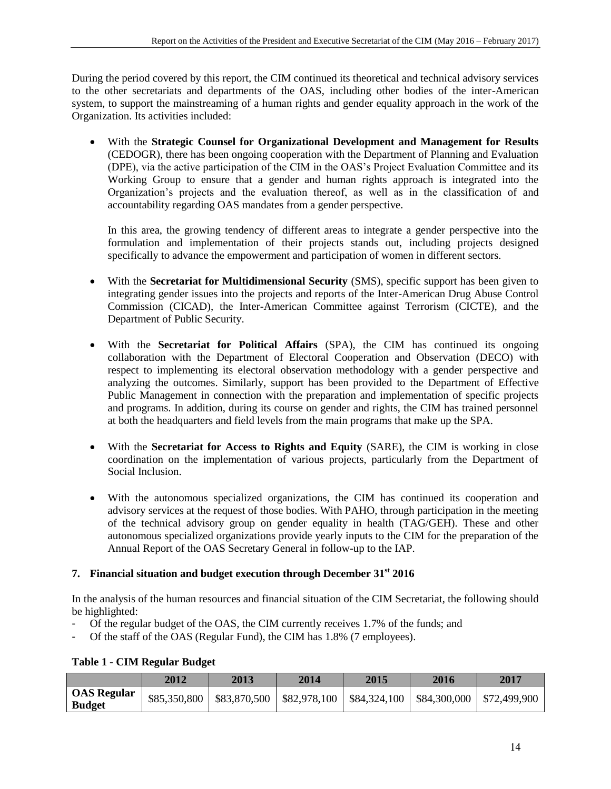During the period covered by this report, the CIM continued its theoretical and technical advisory services to the other secretariats and departments of the OAS, including other bodies of the inter-American system, to support the mainstreaming of a human rights and gender equality approach in the work of the Organization. Its activities included:

 With the **Strategic Counsel for Organizational Development and Management for Results** (CEDOGR), there has been ongoing cooperation with the Department of Planning and Evaluation (DPE), via the active participation of the CIM in the OAS's Project Evaluation Committee and its Working Group to ensure that a gender and human rights approach is integrated into the Organization's projects and the evaluation thereof, as well as in the classification of and accountability regarding OAS mandates from a gender perspective.

In this area, the growing tendency of different areas to integrate a gender perspective into the formulation and implementation of their projects stands out, including projects designed specifically to advance the empowerment and participation of women in different sectors.

- With the **Secretariat for Multidimensional Security** (SMS), specific support has been given to integrating gender issues into the projects and reports of the Inter-American Drug Abuse Control Commission (CICAD), the Inter-American Committee against Terrorism (CICTE), and the Department of Public Security.
- With the **Secretariat for Political Affairs** (SPA), the CIM has continued its ongoing collaboration with the Department of Electoral Cooperation and Observation (DECO) with respect to implementing its electoral observation methodology with a gender perspective and analyzing the outcomes. Similarly, support has been provided to the Department of Effective Public Management in connection with the preparation and implementation of specific projects and programs. In addition, during its course on gender and rights, the CIM has trained personnel at both the headquarters and field levels from the main programs that make up the SPA.
- With the **Secretariat for Access to Rights and Equity** (SARE), the CIM is working in close coordination on the implementation of various projects, particularly from the Department of Social Inclusion.
- With the autonomous specialized organizations, the CIM has continued its cooperation and advisory services at the request of those bodies. With PAHO, through participation in the meeting of the technical advisory group on gender equality in health (TAG/GEH). These and other autonomous specialized organizations provide yearly inputs to the CIM for the preparation of the Annual Report of the OAS Secretary General in follow-up to the IAP.

## **7. Financial situation and budget execution through December 31st 2016**

In the analysis of the human resources and financial situation of the CIM Secretariat, the following should be highlighted:

- Of the regular budget of the OAS, the CIM currently receives 1.7% of the funds; and
- Of the staff of the OAS (Regular Fund), the CIM has 1.8% (7 employees).

|                                     | 2012         | 2013         | 2014 | 2015                                                             | 2016 | 2017 |
|-------------------------------------|--------------|--------------|------|------------------------------------------------------------------|------|------|
| <b>OAS Regular</b><br><b>Budget</b> | \$85,350,800 | \$83,870,500 |      | $\mid$ \$82,978,100   \$84,324,100   \$84,300,000   \$72,499,900 |      |      |

## **Table 1 - CIM Regular Budget**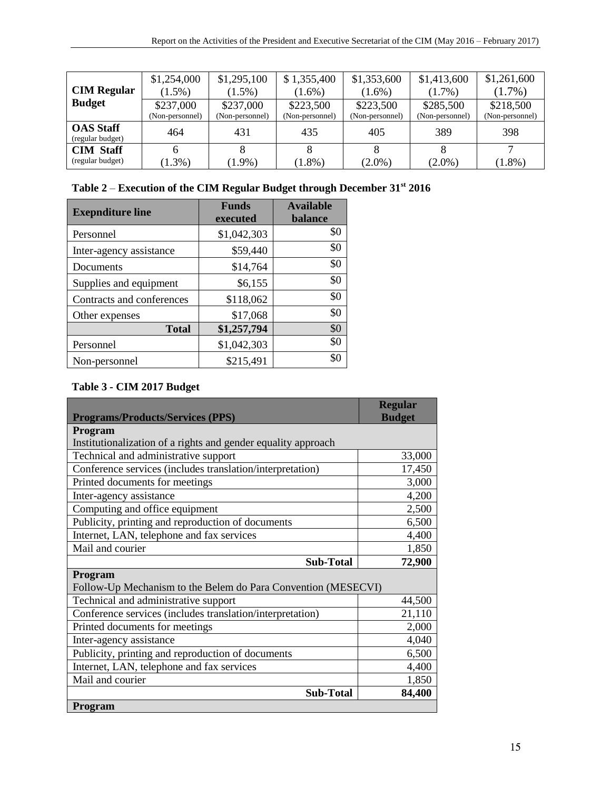| <b>CIM Regular</b>                   | \$1,254,000     | \$1,295,100     | \$1,355,400     | \$1,353,600     | \$1,413,600     | \$1,261,600     |
|--------------------------------------|-----------------|-----------------|-----------------|-----------------|-----------------|-----------------|
|                                      | $(1.5\%)$       | $(1.5\%)$       | $(1.6\%)$       | $(1.6\%)$       | $(1.7\%)$       | $(1.7\%)$       |
| <b>Budget</b>                        | \$237,000       | \$237,000       | \$223,500       | \$223,500       | \$285,500       | \$218,500       |
|                                      | (Non-personnel) | (Non-personnel) | (Non-personnel) | (Non-personnel) | (Non-personnel) | (Non-personnel) |
| <b>OAS Staff</b><br>(regular budget) | 464             | 431             | 435             | 405             | 389             | 398             |
| <b>CIM Staff</b><br>(regular budget) | $.3\%)$         | $(1.9\%)$       | $(1.8\%)$       | $(2.0\%)$       | $(2.0\%)$       | $(1.8\%)$       |

| Table 2 – Execution of the CIM Regular Budget through December $31st 2016$ |  |  |  |  |  |
|----------------------------------------------------------------------------|--|--|--|--|--|
|----------------------------------------------------------------------------|--|--|--|--|--|

| <b>Exepnditure line</b>   | <b>Funds</b> | <b>Available</b> |
|---------------------------|--------------|------------------|
|                           | executed     | <b>balance</b>   |
| Personnel                 | \$1,042,303  | \$0              |
| Inter-agency assistance   | \$59,440     | \$0              |
| Documents                 | \$14,764     | \$0              |
| Supplies and equipment    | \$6,155      | \$0              |
| Contracts and conferences | \$118,062    | \$0              |
| Other expenses            | \$17,068     | \$0              |
| <b>Total</b>              | \$1,257,794  | \$0              |
| Personnel                 | \$1,042,303  | \$0              |
| Non-personnel             | \$215,491    | \$0              |

## **Table 3 - CIM 2017 Budget**

| <b>Programs/Products/Services (PPS)</b>                       | <b>Regular</b><br><b>Budget</b> |
|---------------------------------------------------------------|---------------------------------|
| Program                                                       |                                 |
| Institutionalization of a rights and gender equality approach |                                 |
| Technical and administrative support                          | 33,000                          |
| Conference services (includes translation/interpretation)     | 17,450                          |
| Printed documents for meetings                                | 3,000                           |
| Inter-agency assistance                                       | 4,200                           |
| Computing and office equipment                                | 2,500                           |
| Publicity, printing and reproduction of documents             | 6,500                           |
| Internet, LAN, telephone and fax services                     | 4,400                           |
| Mail and courier                                              | 1,850                           |
| Sub-Total                                                     | 72,900                          |
| Program                                                       |                                 |
| Follow-Up Mechanism to the Belem do Para Convention (MESECVI) |                                 |
| Technical and administrative support                          | 44,500                          |
| Conference services (includes translation/interpretation)     | 21,110                          |
| Printed documents for meetings                                | 2,000                           |
| Inter-agency assistance                                       | 4,040                           |
|                                                               |                                 |
| Publicity, printing and reproduction of documents             | 6,500                           |
| Internet, LAN, telephone and fax services                     | 4,400                           |
| Mail and courier                                              | 1,850                           |
| <b>Sub-Total</b>                                              | 84,400                          |